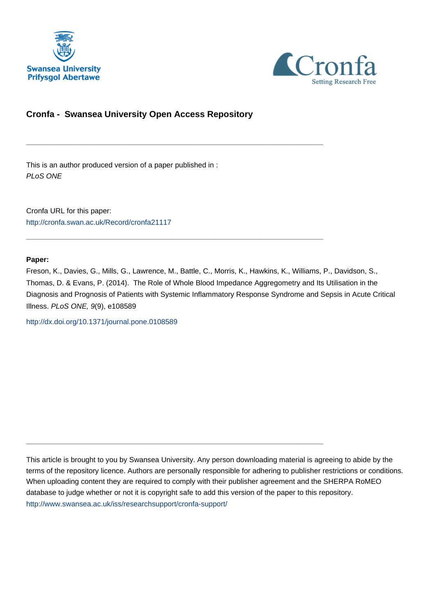



# **Cronfa - Swansea University Open Access Repository**

\_\_\_\_\_\_\_\_\_\_\_\_\_\_\_\_\_\_\_\_\_\_\_\_\_\_\_\_\_\_\_\_\_\_\_\_\_\_\_\_\_\_\_\_\_\_\_\_\_\_\_\_\_\_\_\_\_\_\_\_\_

 $\_$  , and the set of the set of the set of the set of the set of the set of the set of the set of the set of the set of the set of the set of the set of the set of the set of the set of the set of the set of the set of th

\_\_\_\_\_\_\_\_\_\_\_\_\_\_\_\_\_\_\_\_\_\_\_\_\_\_\_\_\_\_\_\_\_\_\_\_\_\_\_\_\_\_\_\_\_\_\_\_\_\_\_\_\_\_\_\_\_\_\_\_\_

This is an author produced version of a paper published in : PLoS ONE

Cronfa URL for this paper: <http://cronfa.swan.ac.uk/Record/cronfa21117>

# **Paper:**

Freson, K., Davies, G., Mills, G., Lawrence, M., Battle, C., Morris, K., Hawkins, K., Williams, P., Davidson, S., Thomas, D. & Evans, P. (2014). The Role of Whole Blood Impedance Aggregometry and Its Utilisation in the Diagnosis and Prognosis of Patients with Systemic Inflammatory Response Syndrome and Sepsis in Acute Critical Illness. PLoS ONE, 9(9), e108589

<http://dx.doi.org/10.1371/journal.pone.0108589>

This article is brought to you by Swansea University. Any person downloading material is agreeing to abide by the terms of the repository licence. Authors are personally responsible for adhering to publisher restrictions or conditions. When uploading content they are required to comply with their publisher agreement and the SHERPA RoMEO database to judge whether or not it is copyright safe to add this version of the paper to this repository. [http://www.swansea.ac.uk/iss/researchsupport/cronfa-support/](http://www.swansea.ac.uk/iss/researchsupport/cronfa-support/ )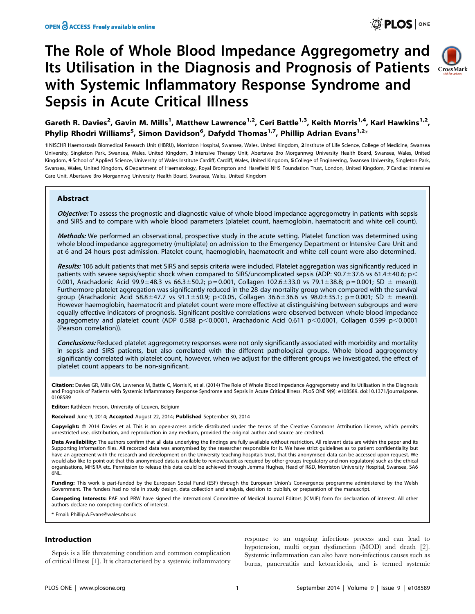# The Role of Whole Blood Impedance Aggregometry and Its Utilisation in the Diagnosis and Prognosis of Patients CrossMark with Systemic Inflammatory Response Syndrome and Sepsis in Acute Critical Illness



Gareth R. Davies<sup>2</sup>, Gavin M. Mills<sup>1</sup>, Matthew Lawrence<sup>1,2</sup>, Ceri Battle<sup>1,3</sup>, Keith Morris<sup>1,4</sup>, Karl Hawkins<sup>1,2</sup>, Phylip Rhodri Williams<sup>5</sup>, Simon Davidson<sup>6</sup>, Dafydd Thomas<sup>1,7</sup>, Phillip Adrian Evans<sup>1,2</sup>\*

1 NISCHR Haemostasis Biomedical Research Unit (HBRU), Morriston Hospital, Swansea, Wales, United Kingdom, 2 Institute of Life Science, College of Medicine, Swansea University, Singleton Park, Swansea, Wales, United Kingdom, 3 Intensive Therapy Unit, Abertawe Bro Morgannwg University Health Board, Swansea, Wales, United Kingdom, 4 School of Applied Science, University of Wales Institute Cardiff, Cardiff, Wales, United Kingdom, 5 College of Engineering, Swansea University, Singleton Park, Swansea, Wales, United Kingdom, 6 Department of Haematology, Royal Brompton and Harefield NHS Foundation Trust, London, United Kingdom, 7 Cardiac Intensive Care Unit, Abertawe Bro Morgannwg University Health Board, Swansea, Wales, United Kingdom

# **Abstract**

Objective: To assess the prognostic and diagnostic value of whole blood impedance aggregometry in patients with sepsis and SIRS and to compare with whole blood parameters (platelet count, haemoglobin, haematocrit and white cell count).

Methods: We performed an observational, prospective study in the acute setting. Platelet function was determined using whole blood impedance aggregometry (multiplate) on admission to the Emergency Department or Intensive Care Unit and at 6 and 24 hours post admission. Platelet count, haemoglobin, haematocrit and white cell count were also determined.

Results: 106 adult patients that met SIRS and sepsis criteria were included. Platelet aggregation was significantly reduced in patients with severe sepsis/septic shock when compared to SIRS/uncomplicated sepsis (ADP: 90.7 $\pm$ 37.6 vs 61.4 $\pm$ 40.6; p< 0.001, Arachadonic Acid 99.9±48.3 vs 66.3±50.2; p = 0.001, Collagen 102.6±33.0 vs 79.1±38.8; p = 0.001; SD ± mean)). Furthermore platelet aggregation was significantly reduced in the 28 day mortality group when compared with the survival group (Arachadonic Acid 58.8±47.7 vs 91.1±50.9; p<0.05, Collagen 36.6±36.6 vs 98.0±35.1; p = 0.001; SD ± mean)). However haemoglobin, haematocrit and platelet count were more effective at distinguishing between subgroups and were equally effective indicators of prognosis. Significant positive correlations were observed between whole blood impedance aggregometry and platelet count (ADP 0.588 p<0.0001, Arachadonic Acid 0.611 p<0.0001, Collagen 0.599 p<0.0001 (Pearson correlation)).

Conclusions: Reduced platelet aggregometry responses were not only significantly associated with morbidity and mortality in sepsis and SIRS patients, but also correlated with the different pathological groups. Whole blood aggregometry significantly correlated with platelet count, however, when we adjust for the different groups we investigated, the effect of platelet count appears to be non-significant.

Citation: Davies GR, Mills GM, Lawrence M, Battle C, Morris K, et al. (2014) The Role of Whole Blood Impedance Aggregometry and Its Utilisation in the Diagnosis and Prognosis of Patients with Systemic Inflammatory Response Syndrome and Sepsis in Acute Critical Illness. PLoS ONE 9(9): e108589. doi:10.1371/journal.pone. 0108589

Editor: Kathleen Freson, University of Leuven, Belgium

Received June 9, 2014; Accepted August 22, 2014; Published September 30, 2014

Copyright: © 2014 Davies et al. This is an open-access article distributed under the terms of the Creative Commons Attribution License, which permits unrestricted use, distribution, and reproduction in any medium, provided the original author and source are credited.

Data Availability: The authors confirm that all data underlying the findings are fully available without restriction. All relevant data are within the paper and its Supporting Information files. All recorded data was anonymised by the researcher responsible for it. We have strict guidelines as to patient confidentiality but have an agreement with the research and development on the University teaching hospitals trust, that this anonymised data can be accessed upon request. We would also like to point out that this anonymised data is available to review/audit as required by other groups (regulatory and non-regulatory) such as the ethical organisations, MHSRA etc. Permission to release this data could be achieved through Jemma Hughes, Head of R&D, Morriston University Hospital, Swansea, SA6  $6NL$ 

Funding: This work is part-funded by the European Social Fund (ESF) through the European Union's Convergence programme administered by the Welsh Government. The funders had no role in study design, data collection and analysis, decision to publish, or preparation of the manuscript.

Competing Interests: PAE and PRW have signed the International Committee of Medical Journal Editors (ICMJE) form for declaration of interest. All other authors declare no competing conflicts of interest.

\* Email: Phillip.A.Evans@wales.nhs.uk

# Introduction

Sepsis is a life threatening condition and common complication of critical illness [1]. It is characterised by a systemic inflammatory response to an ongoing infectious process and can lead to hypotension, multi organ dysfunction (MOD) and death [2]. Systemic inflammation can also have non-infectious causes such as burns, pancreatitis and ketoacidosis, and is termed systemic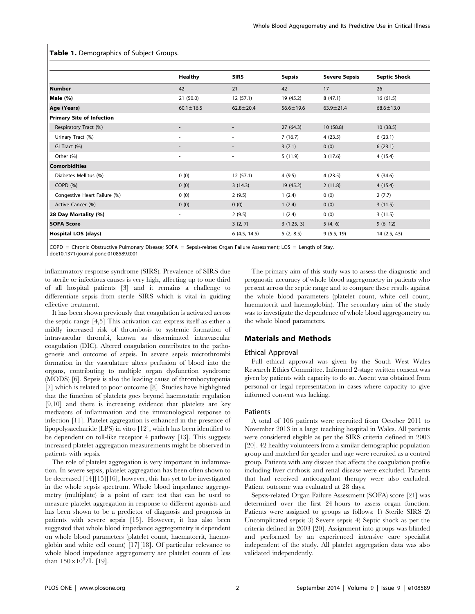Table 1. Demographics of Subject Groups.

|                                  | <b>Healthy</b>           | <b>SIRS</b>              | <b>Sepsis</b>   | <b>Severe Sepsis</b> | <b>Septic Shock</b> |
|----------------------------------|--------------------------|--------------------------|-----------------|----------------------|---------------------|
| <b>Number</b>                    | 42                       | 21                       | 42              | 17                   | 26                  |
| Male (%)                         | 21(50.0)                 | 12(57.1)                 | 19 (45.2)       | 8(47.1)              | 16(61.5)            |
| Age (Years)                      | $60.1 \pm 16.5$          | $62.8 \pm 20.4$          | $56.6 \pm 19.6$ | $63.9 \pm 21.4$      | $68.6 \pm 13.0$     |
| <b>Primary Site of Infection</b> |                          |                          |                 |                      |                     |
| Respiratory Tract (%)            |                          | $\overline{\phantom{a}}$ | 27(64.3)        | 10(58.8)             | 10(38.5)            |
| Urinary Tract (%)                | $\overline{\phantom{a}}$ | ٠                        | 7(16.7)         | 4(23.5)              | 6(23.1)             |
| GI Tract (%)                     |                          |                          | 3(7.1)          | 0(0)                 | 6(23.1)             |
| Other (%)                        | $\overline{\phantom{a}}$ | ٠                        | 5(11.9)         | 3(17.6)              | 4(15.4)             |
| <b>Comorbidities</b>             |                          |                          |                 |                      |                     |
| Diabetes Mellitus (%)            | 0(0)                     | 12(57.1)                 | 4(9.5)          | 4(23.5)              | 9(34.6)             |
| COPD(%)                          | 0(0)                     | 3(14.3)                  | 19(45.2)        | 2(11.8)              | 4(15.4)             |
| Congestive Heart Failure (%)     | 0(0)                     | 2(9.5)                   | 1(2.4)          | 0(0)                 | 2(7.7)              |
| Active Cancer (%)                | 0(0)                     | 0(0)                     | 1(2.4)          | 0(0)                 | 3(11.5)             |
| 28 Day Mortality (%)             | ۰.                       | 2(9.5)                   | 1(2.4)          | 0(0)                 | 3(11.5)             |
| <b>SOFA Score</b>                |                          | 3(2, 7)                  | 3(1.25, 3)      | 5(4, 6)              | 9(6, 12)            |
| Hospital LOS (days)              | ٠                        | 6(4.5, 14.5)             | 5(2, 8.5)       | 9(5.5, 19)           | 14 (2.5, 43)        |

COPD = Chronic Obstructive Pulmonary Disease; SOFA = Sepsis-relates Organ Failure Assessment; LOS = Length of Stay. doi:10.1371/journal.pone.0108589.t001

inflammatory response syndrome (SIRS). Prevalence of SIRS due to sterile or infectious causes is very high, affecting up to one third of all hospital patients [3] and it remains a challenge to differentiate sepsis from sterile SIRS which is vital in guiding effective treatment.

It has been shown previously that coagulation is activated across the septic range [4,5] This activation can express itself as either a mildly increased risk of thrombosis to systemic formation of intravascular thrombi, known as disseminated intravascular coagulation (DIC). Altered coagulation contributes to the pathogenesis and outcome of sepsis. In severe sepsis microthrombi formation in the vasculature alters perfusion of blood into the organs, contributing to multiple organ dysfunction syndrome (MODS) [6]. Sepsis is also the leading cause of thrombocytopenia [7] which is related to poor outcome [8]. Studies have highlighted that the function of platelets goes beyond haemostatic regulation [9,10] and there is increasing evidence that platelets are key mediators of inflammation and the immunological response to infection [11]. Platelet aggregation is enhanced in the presence of lipopolysaccharide (LPS) in vitro [12], which has been identified to be dependent on toll-like receptor 4 pathway [13]. This suggests increased platelet aggregation measurements might be observed in patients with sepsis.

The role of platelet aggregation is very important in inflammation. In severe sepsis, platelet aggregation has been often shown to be decreased [14][15][16]; however, this has yet to be investigated in the whole sepsis spectrum. Whole blood impedance aggregometry (multiplate) is a point of care test that can be used to measure platelet aggregation in response to different agonists and has been shown to be a predictor of diagnosis and prognosis in patients with severe sepsis [15]. However, it has also been suggested that whole blood impedance aggregometry is dependent on whole blood parameters (platelet count, haematocrit, haemoglobin and white cell count) [17][18]. Of particular relevance to whole blood impedance aggregometry are platelet counts of less than  $150 \times 10^9$ /L [19].

The primary aim of this study was to assess the diagnostic and prognostic accuracy of whole blood aggregometry in patients who present across the septic range and to compare these results against the whole blood parameters (platelet count, white cell count, haematocrit and haemoglobin). The secondary aim of the study was to investigate the dependence of whole blood aggregometry on the whole blood parameters.

# Materials and Methods

# Ethical Approval

Full ethical approval was given by the South West Wales Research Ethics Committee. Informed 2-stage written consent was given by patients with capacity to do so. Assent was obtained from personal or legal representation in cases where capacity to give informed consent was lacking.

# Patients

A total of 106 patients were recruited from October 2011 to November 2013 in a large teaching hospital in Wales. All patients were considered eligible as per the SIRS criteria defined in 2003 [20]. 42 healthy volunteers from a similar demographic population group and matched for gender and age were recruited as a control group. Patients with any disease that affects the coagulation profile including liver cirrhosis and renal disease were excluded. Patients that had received anticoagulant therapy were also excluded. Patient outcome was evaluated at 28 days.

Sepsis-related Organ Failure Assessment (SOFA) score [21] was determined over the first 24 hours to assess organ function. Patients were assigned to groups as follows: 1) Sterile SIRS 2) Uncomplicated sepsis 3) Severe sepsis 4) Septic shock as per the criteria defined in 2003 [20]. Assignment into groups was blinded and performed by an experienced intensive care specialist independent of the study. All platelet aggregation data was also validated independently.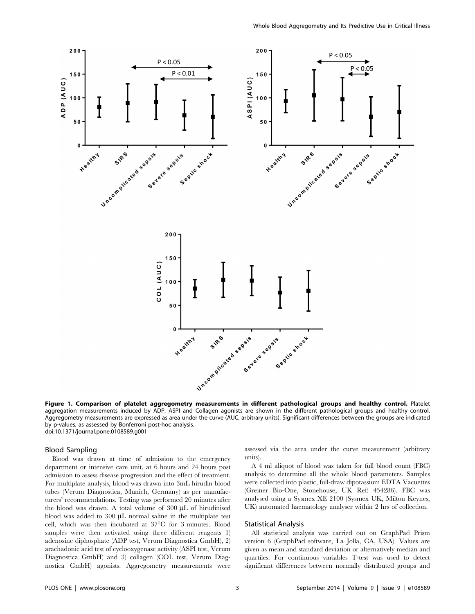

Figure 1. Comparison of platelet aggregometry measurements in different pathological groups and healthy control. Platelet aggregation measurements induced by ADP, ASPI and Collagen agonists are shown in the different pathological groups and healthy control. Aggregometry measurements are expressed as area under the curve (AUC, arbitrary units). Significant differences between the groups are indicated by p-values, as assessed by Bonferroni post-hoc analysis. doi:10.1371/journal.pone.0108589.g001

#### Blood Sampling

Blood was drawn at time of admission to the emergency department or intensive care unit, at 6 hours and 24 hours post admission to assess disease progression and the effect of treatment. For multiplate analysis, blood was drawn into 3mL hirudin blood tubes (Verum Diagnostica, Munich, Germany) as per manufacturers' recommendations. Testing was performed 20 minutes after the blood was drawn. A total volume of  $300 \mu L$  of hirudinised blood was added to 300 µL normal saline in the multiplate test cell, which was then incubated at 37°C for 3 minutes. Blood samples were then activated using three different reagents 1) adenosine diphosphate (ADP test, Verum Diagnostica GmbH), 2) arachadonic acid test of cyclooxygenase activity (ASPI test, Verum Diagnostica GmbH) and 3) collagen (COL test, Verum Diagnostica GmbH) agonists. Aggregometry measurements were assessed via the area under the curve measurement (arbitrary units).

A 4 ml aliquot of blood was taken for full blood count (FBC) analysis to determine all the whole blood parameters. Samples were collected into plastic, full-draw dipotassium EDTA Vacuettes (Greiner Bio-One, Stonehouse, UK Ref: 454286). FBC was analysed using a Sysmex XE 2100 (Sysmex UK, Milton Keynes, UK) automated haematology analyser within 2 hrs of collection.

# Statistical Analysis

All statistical analysis was carried out on GraphPad Prism version 6 (GraphPad software, La Jolla, CA, USA). Values are given as mean and standard deviation or alternatively median and quartiles. For continuous variables T-test was used to detect significant differences between normally distributed groups and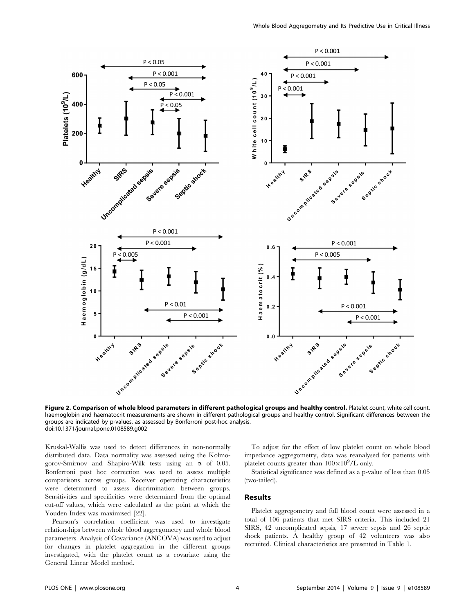

Figure 2. Comparison of whole blood parameters in different pathological groups and healthy control. Platelet count, white cell count, haemoglobin and haematocrit measurements are shown in different pathological groups and healthy control. Significant differences between the groups are indicated by p-values, as assessed by Bonferroni post-hoc analysis. doi:10.1371/journal.pone.0108589.g002

Kruskal-Wallis was used to detect differences in non-normally distributed data. Data normality was assessed using the Kolmogorov-Smirnov and Shapiro-Wilk tests using an *a* of 0.05. Bonferroni post hoc correction was used to assess multiple comparisons across groups. Receiver operating characteristics were determined to assess discrimination between groups. Sensitivities and specificities were determined from the optimal cut-off values, which were calculated as the point at which the Youden Index was maximised [22].

Pearson's correlation coefficient was used to investigate relationships between whole blood aggregometry and whole blood parameters. Analysis of Covariance (ANCOVA) was used to adjust for changes in platelet aggregation in the different groups investigated, with the platelet count as a covariate using the General Linear Model method.

To adjust for the effect of low platelet count on whole blood impedance aggregometry, data was reanalysed for patients with platelet counts greater than  $100\times10^9$ /L only.

Statistical significance was defined as a p-value of less than 0.05 (two-tailed).

# Results

Platelet aggregometry and full blood count were assessed in a total of 106 patients that met SIRS criteria. This included 21 SIRS, 42 uncomplicated sepsis, 17 severe sepsis and 26 septic shock patients. A healthy group of 42 volunteers was also recruited. Clinical characteristics are presented in Table 1.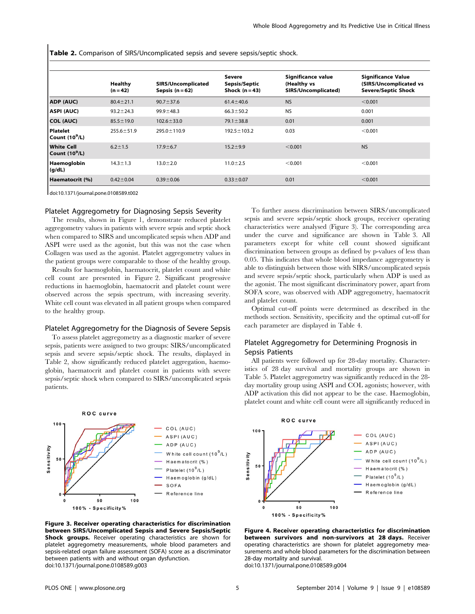Table 2. Comparison of SIRS/Uncomplicated sepsis and severe sepsis/septic shock.

|                                       | Healthy<br>$(n = 42)$ | SIRS/Uncomplicated<br>Sepsis $(n=62)$ | Severe<br>Sepsis/Septic<br>Shock $(n=43)$ | Significance value<br>(Healthy vs<br>SIRS/Uncomplicated) | <b>Significance Value</b><br>(SIRS/Uncomplicated vs<br><b>Severe/Septic Shock</b> |
|---------------------------------------|-----------------------|---------------------------------------|-------------------------------------------|----------------------------------------------------------|-----------------------------------------------------------------------------------|
| ADP (AUC)                             | $80.4 \pm 21.1$       | $90.7 \pm 37.6$                       | $61.4 \pm 40.6$                           | <b>NS</b>                                                | < 0.001                                                                           |
| <b>ASPI (AUC)</b>                     | $93.2 \pm 24.3$       | $99.9 \pm 48.3$                       | $66.3 \pm 50.2$                           | <b>NS</b>                                                | 0.001                                                                             |
| <b>COL (AUC)</b>                      | $85.5 \pm 19.0$       | $102.6 \pm 33.0$                      | $79.1 \pm 38.8$                           | 0.01                                                     | 0.001                                                                             |
| <b>Platelet</b><br>Count $(10^9/L)$   | $255.6 \pm 51.9$      | $295.0 \pm 110.9$                     | $192.5 \pm 103.2$                         | 0.03                                                     | < 0.001                                                                           |
| <b>White Cell</b><br>Count $(10^9/L)$ | $6.2 \pm 1.5$         | $17.9 \pm 6.7$                        | $15.2 + 9.9$                              | < 0.001                                                  | <b>NS</b>                                                                         |
| Haemoglobin<br>(g/dL)                 | $14.3 \pm 1.3$        | $13.0 \pm 2.0$                        | $11.0 \pm 2.5$                            | < 0.001                                                  | < 0.001                                                                           |
| Haematocrit (%)                       | $0.42 \pm 0.04$       | $0.39 \pm 0.06$                       | $0.33 \pm 0.07$                           | 0.01                                                     | < 0.001                                                                           |

doi:10.1371/journal.pone.0108589.t002

# Platelet Aggregometry for Diagnosing Sepsis Severity

The results, shown in Figure 1, demonstrate reduced platelet aggregometry values in patients with severe sepsis and septic shock when compared to SIRS and uncomplicated sepsis when ADP and ASPI were used as the agonist, but this was not the case when Collagen was used as the agonist. Platelet aggregometry values in the patient groups were comparable to those of the healthy group.

Results for haemoglobin, haematocrit, platelet count and white cell count are presented in Figure 2. Significant progressive reductions in haemoglobin, haematocrit and platelet count were observed across the sepsis spectrum, with increasing severity. White cell count was elevated in all patient groups when compared to the healthy group.

# Platelet Aggregometry for the Diagnosis of Severe Sepsis

To assess platelet aggregometry as a diagnostic marker of severe sepsis, patients were assigned to two groups: SIRS/uncomplicated sepsis and severe sepsis/septic shock. The results, displayed in Table 2, show significantly reduced platelet aggregation, haemoglobin, haematocrit and platelet count in patients with severe sepsis/septic shock when compared to SIRS/uncomplicated sepsis patients.



Figure 3. Receiver operating characteristics for discrimination between SIRS/Uncomplicated Sepsis and Severe Sepsis/Septic Shock groups. Receiver operating characteristics are shown for platelet aggregometry measurements, whole blood parameters and sepsis-related organ failure assessment (SOFA) score as a discriminator between patients with and without organ dysfunction. doi:10.1371/journal.pone.0108589.g003

To further assess discrimination between SIRS/uncomplicated sepsis and severe sepsis/septic shock groups, receiver operating characteristics were analysed (Figure 3). The corresponding area under the curve and significance are shown in Table 3. All parameters except for white cell count showed significant discrimination between groups as defined by p-values of less than 0.05. This indicates that whole blood impedance aggregometry is able to distinguish between those with SIRS/uncomplicated sepsis and severe sepsis/septic shock, particularly when ADP is used as the agonist. The most significant discriminatory power, apart from SOFA score, was observed with ADP aggregometry, haematocrit and platelet count.

Optimal cut-off points were determined as described in the methods section. Sensitivity, specificity and the optimal cut-off for each parameter are displayed in Table 4.

# Platelet Aggregometry for Determining Prognosis in Sepsis Patients

All patients were followed up for 28-day mortality. Characteristics of 28 day survival and mortality groups are shown in Table 5. Platelet aggregometry was significantly reduced in the 28 day mortality group using ASPI and COL agonists; however, with ADP activation this did not appear to be the case. Haemoglobin, platelet count and white cell count were all significantly reduced in



Figure 4. Receiver operating characteristics for discrimination between survivors and non-survivors at 28 days. Receiver operating characteristics are shown for platelet aggregometry measurements and whole blood parameters for the discrimination between 28-day mortality and survival.

doi:10.1371/journal.pone.0108589.g004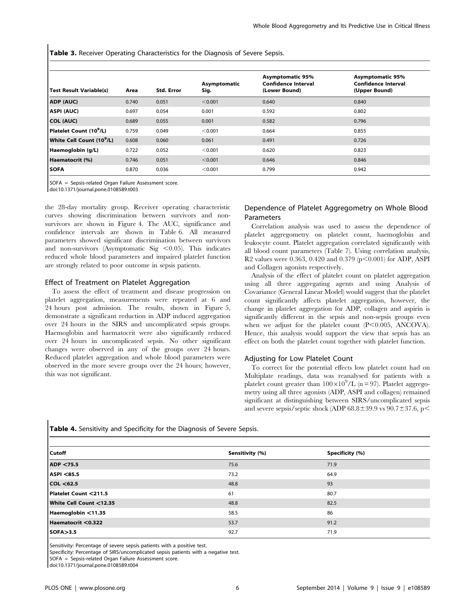Table 3. Receiver Operating Characteristics for the Diagnosis of Severe Sepsis.

| <b>Test Result Variable(s)</b>        | Area  | <b>Std. Error</b> | Asymptomatic<br>Sig. | <b>Asymptomatic 95%</b><br><b>Confidence Interval</b><br>(Lower Bound) | <b>Asymptomatic 95%</b><br><b>Confidence Interval</b><br>(Upper Bound) |
|---------------------------------------|-------|-------------------|----------------------|------------------------------------------------------------------------|------------------------------------------------------------------------|
| ADP (AUC)                             | 0.740 | 0.051             | < 0.001              | 0.640                                                                  | 0.840                                                                  |
| ASPI (AUC)                            | 0.697 | 0.054             | 0.001                | 0.592                                                                  | 0.802                                                                  |
| <b>COL (AUC)</b>                      | 0.689 | 0.055             | 0.001                | 0.582                                                                  | 0.796                                                                  |
| Platelet Count (10 <sup>9</sup> /L)   | 0.759 | 0.049             | < 0.001              | 0.664                                                                  | 0.855                                                                  |
| White Cell Count (10 <sup>9</sup> /L) | 0.608 | 0.060             | 0.061                | 0.491                                                                  | 0.726                                                                  |
| Haemoglobin (g/L)                     | 0.722 | 0.052             | < 0.001              | 0.620                                                                  | 0.823                                                                  |
| Haematocrit (%)                       | 0.746 | 0.051             | < 0.001              | 0.646                                                                  | 0.846                                                                  |
| <b>SOFA</b>                           | 0.870 | 0.036             | < 0.001              | 0.799                                                                  | 0.942                                                                  |

SOFA = Sepsis-related Organ Failure Assessment score.

doi:10.1371/journal.pone.0108589.t003

the 28-day mortality group. Receiver operating characteristic curves showing discrimination between survivors and nonsurvivors are shown in Figure 4. The AUC, significance and confidence intervals are shown in Table 6. All measured parameters showed significant discrimination between survivors and non-survivors (Asymptomatic Sig  $< 0.05$ ). This indicates reduced whole blood parameters and impaired platelet function are strongly related to poor outcome in sepsis patients.

#### Effect of Treatment on Platelet Aggregation

To assess the effect of treatment and disease progression on platelet aggregation, measurements were repeated at 6 and 24 hours post admission. The results, shown in Figure 5, demonstrate a significant reduction in ADP induced aggregation over 24 hours in the SIRS and uncomplicated sepsis groups. Haemoglobin and haematocrit were also significantly reduced over 24 hours in uncomplicated sepsis. No other significant changes were observed in any of the groups over 24 hours. Reduced platelet aggregation and whole blood parameters were observed in the more severe groups over the 24 hours; however, this was not significant.

# Dependence of Platelet Aggregometry on Whole Blood Parameters

Correlation analysis was used to assess the dependence of platelet aggregometry on platelet count, haemoglobin and leukocyte count. Platelet aggregation correlated significantly with all blood count parameters (Table 7). Using correlation analysis, R2 values were 0.363, 0.420 and 0.379 ( $p$ <0.001) for ADP, ASPI and Collagen agonists respectively.

Analysis of the effect of platelet count on platelet aggregation using all three aggregating agents and using Analysis of Covariance (General Linear Model) would suggest that the platelet count significantly affects platelet aggregation, however, the change in platelet aggregation for ADP, collagen and aspirin is significantly different in the sepsis and non-sepsis groups even when we adjust for the platelet count  $(P<0.005, ANCOVA)$ . Hence, this analysis would support the view that sepsis has an effect on both the platelet count together with platelet function.

# Adjusting for Low Platelet Count

To correct for the potential effects low platelet count had on Multiplate readings, data was reanalysed for patients with a platelet count greater than  $100\times10^9$ /L (n = 97). Platelet aggregometry using all three agonists (ADP, ASPI and collagen) remained significant at distinguishing between SIRS/uncomplicated sepsis and severe sepsis/septic shock (ADP  $68.8 \pm 39.9$  vs  $90.7 \pm 37.6$ , p

| Cutoff                  | Sensitivity (%) | Specificity (%) |
|-------------------------|-----------------|-----------------|
| ADP <75.5               | 75.6            | 71.9            |
| ASPI <85.5              | 73.2            | 64.9            |
| COL < 62.5              | 48.8            | 93              |
| Platelet Count <211.5   | 61              | 80.7            |
| White Cell Count <12.35 | 48.8            | 82.5            |
| Haemoglobin <11.35      | 58.5            | 86              |
| Haematocrit <0.322      | 53.7            | 91.2            |
| <b>SOFA&gt;3.5</b>      | 92.7            | 71.9            |

Table 4. Sensitivity and Specificity for the Diagnosis of Severe Sepsis.

Sensitivity: Percentage of severe sepsis patients with a positive test.

Specificity: Percentage of SIRS/uncomplicated sepsis patients with a negative test.

SOFA = Sepsis-related Organ Failure Assessment score.

doi:10.1371/journal.pone.0108589.t004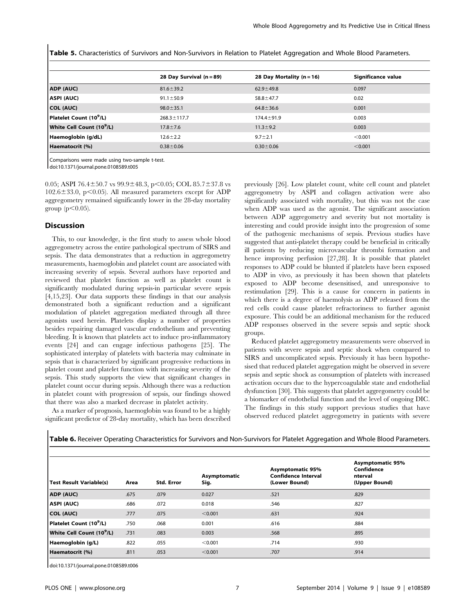Table 5. Characteristics of Survivors and Non-Survivors in Relation to Platelet Aggregation and Whole Blood Parameters.

|                                       | 28 Day Survival (n = 89) | 28 Day Mortality (n = 16) | Significance value |
|---------------------------------------|--------------------------|---------------------------|--------------------|
| ADP (AUC)                             | $81.6 \pm 39.2$          | $62.9 \pm 49.8$           | 0.097              |
| ASPI (AUC)                            | $91.1 \pm 50.9$          | $58.8 \pm 47.7$           | 0.02               |
| COL (AUC)                             | $98.0 \pm 35.1$          | $64.8 \pm 36.6$           | 0.001              |
| Platelet Count (10 <sup>9</sup> /L)   | $268.3 \pm 117.7$        | $174.4 \pm 91.9$          | 0.003              |
| White Cell Count (10 <sup>9</sup> /L) | $17.8 \pm 7.6$           | $11.3 \pm 9.2$            | 0.003              |
| Haemoglobin (g/dL)                    | $12.6 \pm 2.2$           | $9.7 \pm 2.1$             | < 0.001            |
| Haematocrit (%)                       | $0.38 \pm 0.06$          | $0.30 \pm 0.06$           | < 0.001            |

Comparisons were made using two-sample t-test.

doi:10.1371/journal.pone.0108589.t005

0.05; ASPI 76.4 $\pm$ 50.7 vs 99.9 $\pm$ 48.3, p $\lt$ 0.05; COL 85.7 $\pm$ 37.8 vs  $102.6 \pm 33.0$ , p $\leq 0.05$ ). All measured parameters except for ADP aggregometry remained significantly lower in the 28-day mortality group  $(p<0.05)$ .

#### Discussion

This, to our knowledge, is the first study to assess whole blood aggregometry across the entire pathological spectrum of SIRS and sepsis. The data demonstrates that a reduction in aggregometry measurements, haemoglobin and platelet count are associated with increasing severity of sepsis. Several authors have reported and reviewed that platelet function as well as platelet count is significantly modulated during sepsis-in particular severe sepsis [4,15,23]. Our data supports these findings in that our analysis demonstrated both a significant reduction and a significant modulation of platelet aggregation mediated through all three agonists used herein. Platelets display a number of properties besides repairing damaged vascular endothelium and preventing bleeding. It is known that platelets act to induce pro-inflammatory events [24] and can engage infectious pathogens [25]. The sophisticated interplay of platelets with bacteria may culminate in sepsis that is characterized by significant progressive reductions in platelet count and platelet function with increasing severity of the sepsis. This study supports the view that significant changes in platelet count occur during sepsis. Although there was a reduction in platelet count with progression of sepsis, our findings showed that there was also a marked decrease in platelet activity.

As a marker of prognosis, haemoglobin was found to be a highly significant predictor of 28-day mortality, which has been described previously [26]. Low platelet count, white cell count and platelet aggregometry by ASPI and collagen activation were also significantly associated with mortality, but this was not the case when ADP was used as the agonist. The significant association between ADP aggregometry and severity but not mortality is interesting and could provide insight into the progression of some of the pathogenic mechanisms of sepsis. Previous studies have suggested that anti-platelet therapy could be beneficial in critically ill patients by reducing microvascular thrombi formation and hence improving perfusion [27,28]. It is possible that platelet responses to ADP could be blunted if platelets have been exposed to ADP in vivo, as previously it has been shown that platelets exposed to ADP become desensitised, and unresponsive to restimulation [29]. This is a cause for concern in patients in which there is a degree of haemolysis as ADP released from the red cells could cause platelet refractoriness to further agonist exposure. This could be an additional mechanism for the reduced ADP responses observed in the severe sepsis and septic shock groups.

Reduced platelet aggregometry measurements were observed in patients with severe sepsis and septic shock when compared to SIRS and uncomplicated sepsis. Previously it has been hypothesised that reduced platelet aggregation might be observed in severe sepsis and septic shock as consumption of platelets with increased activation occurs due to the hypercoagulable state and endothelial dysfunction [30]. This suggests that platelet aggregometry could be a biomarker of endothelial function and the level of ongoing DIC. The findings in this study support previous studies that have observed reduced platelet aggregometry in patients with severe

| <b>Test Result Variable(s)</b>        | Area | <b>Std. Error</b> | Asymptomatic<br>Sig. | <b>Asymptomatic 95%</b><br><b>Confidence Interval</b><br>(Lower Bound) | <b>Asymptomatic 95%</b><br>Confidence<br>nterval<br>(Upper Bound) |
|---------------------------------------|------|-------------------|----------------------|------------------------------------------------------------------------|-------------------------------------------------------------------|
| ADP (AUC)                             | .675 | .079              | 0.027                | .521                                                                   | .829                                                              |
| <b>ASPI (AUC)</b>                     | .686 | .072              | 0.018                | .546                                                                   | .827                                                              |
| COL (AUC)                             | .777 | .075              | < 0.001              | .631                                                                   | .924                                                              |
| Platelet Count (10 <sup>9</sup> /L)   | .750 | .068              | 0.001                | .616                                                                   | .884                                                              |
| White Cell Count (10 <sup>9</sup> /L) | .731 | .083              | 0.003                | .568                                                                   | .895                                                              |
| Haemoglobin (g/L)                     | .822 | .055              | < 0.001              | .714                                                                   | .930                                                              |
| Haematocrit (%)                       | .811 | .053              | < 0.001              | .707                                                                   | .914                                                              |

Table 6. Receiver Operating Characteristics for Survivors and Non-Survivors for Platelet Aggregation and Whole Blood Parameters.

doi:10.1371/journal.pone.0108589.t006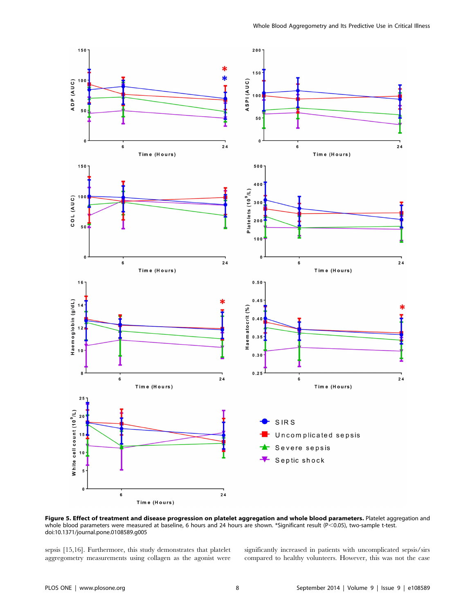

Figure 5. Effect of treatment and disease progression on platelet aggregation and whole blood parameters. Platelet aggregation and whole blood parameters were measured at baseline, 6 hours and 24 hours are shown. \*Significant result (P<0.05), two-sample t-test. doi:10.1371/journal.pone.0108589.g005

 $24$ 

sepsis [15,16]. Furthermore, this study demonstrates that platelet aggregometry measurements using collagen as the agonist were

Time (Hours)

 $\bf 6$ 

significantly increased in patients with uncomplicated sepsis/sirs compared to healthy volunteers. However, this was not the case

Severe sepsis Septic shock

5

C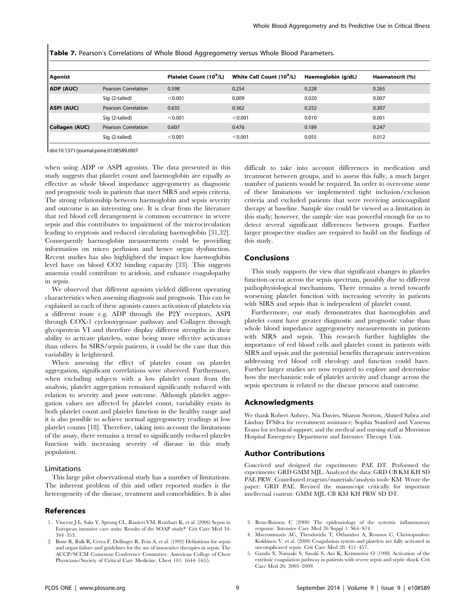**Table 7.** Pearson's Correlations of Whole Blood Aggregometry versus Whole Blood Parameters.

| <b>Agonist</b>    |                     | Platelet Count (10 <sup>9</sup> /L) | White Cell Count (10 <sup>9</sup> /L) | Haemoglobin (g/dL) | Haematocrit (%) |
|-------------------|---------------------|-------------------------------------|---------------------------------------|--------------------|-----------------|
| ADP (AUC)         | Pearson Correlation | 0.598                               | 0.254                                 | 0.228              | 0.265           |
|                   | Sig (2-tailed)      | < 0.001                             | 0.009                                 | 0.020              | 0.007           |
| <b>ASPI (AUC)</b> | Pearson Correlation | 0.635                               | 0.362                                 | 0.252              | 0.307           |
|                   | Sig (2-tailed)      | < 0.001                             | < 0.001                               | 0.010              | 0.001           |
| Collagen (AUC)    | Pearson Correlation | 0.607                               | 0.476                                 | 0.189              | 0.247           |
|                   | Sig (2-tailed)      | < 0.001                             | < 0.001                               | 0.055              | 0.012           |

doi:10.1371/journal.pone.0108589.t007

when using ADP or ASPI agonists. The data presented in this study suggests that platelet count and haemoglobin are equally as effective as whole blood impedance aggregometry as diagnostic and prognostic tools in patients that meet SIRS and sepsis criteria. The strong relationship between haemoglobin and sepsis severity and outcome is an interesting one. It is clear from the literature that red blood cell derangement is common occurrence in severe sepsis and this contributes to impairment of the microcirculation leading to eryptosis and reduced circulating haemoglobin [31,32]. Consequently haemoglobin measurements could be providing information on micro perfusion and hence organ dysfunction. Recent studies has also highlighted the impact low haemoglobin level have on blood CO2 binding capacity [33]. This suggests anaemia could contribute to acidosis, and enhance coagulopathy in sepsis.

We observed that different agonists yielded different operating characteristics when assessing diagnosis and prognosis. This can be explained as each of these agonists causes activation of platelets via a different route e.g. ADP through the P2Y receptors, ASPI through COX-1 cyclooxygenase pathway and Collagen through glycoprotein VI and therefore display different strengths in their ability to activate platelets, some being more effective activators than others. In SIRS/sepsis patients, it could be the case that this variability is heightened.

When assessing the effect of platelet count on platelet aggregation, significant correlations were observed. Furthermore, when excluding subjects with a low platelet count from the analysis, platelet aggregation remained significantly reduced with relation to severity and poor outcome. Although platelet aggregation values are affected by platelet count, variability exists in both platelet count and platelet function in the healthy range and it is also possible to achieve normal aggregometry readings at low platelet counts [18]. Therefore, taking into account the limitations of the assay, there remains a trend to significantly reduced platelet function with increasing severity of disease in this study population.

# Limitations

This large pilot observational study has a number of limitations. The inherent problem of this and other reported studies is the heterogeneity of the disease, treatment and comorbidities. It is also

#### References

- 1. Vincent J-L, Sakr Y, Sprung CL, Ranieri VM, Reinhart K, et al. (2006) Sepsis in European intensive care units: Results of the SOAP study\*. Crit Care Med 34: 344–353.
- 2. Bone R, Balk R, Cerra F, Dellinger R, Fein A, et al. (1992) Definitions for sepsis and organ failure and guidelines for the use of innovative therapies in sepsis. The ACCP/SCCM Consensus Conference Committee. American College of Chest Physicians/Society of Critical Care Medicine. Chest 101: 1644–1655.

difficult to take into account differences in medication and treatment between groups, and to assess this fully, a much larger number of patients would be required. In order to overcome some of these limitations we implemented tight inclusion/exclusion criteria and excluded patients that were receiving anticoagulant therapy at baseline. Sample size could be viewed as a limitation in this study; however, the sample size was powerful enough for us to detect several significant differences between groups. Further larger prospective studies are required to build on the findings of this study.

#### Conclusions

This study supports the view that significant changes in platelet function occur across the sepsis spectrum, possibly due to different pathophysiological mechanisms. There remains a trend towards worsening platelet function with increasing severity in patients with SIRS and sepsis that is independent of platelet count.

Furthermore, our study demonstrates that haemoglobin and platelet count have greater diagnostic and prognostic value than whole blood impedance aggregometry measurements in patients with SIRS and sepsis. This research further highlights the importance of red blood cells and platelet count in patients with SIRS and sepsis and the potential benefits therapeutic intervention addressing red blood cell rheology and function could have. Further larger studies are now required to explore and determine how the mechanistic role of platelet activity and change across the sepsis spectrum is related to the disease process and outcome.

#### Acknowledgments

We thank Robert Aubrey, Nia Davies, Sharon Storton, Ahmed Sabra and Lindsay D'Silva for recruitment assistance; Sophia Stanford and Vanessa Evans for technical support; and the medical and nursing staff at Morriston Hospital Emergency Department and Intensive Therapy Unit.

#### Author Contributions

Conceived and designed the experiments: PAE DT. Performed the experiments: GRD GMM MJL. Analyzed the data: GRD CB KM KH SD PAE PRW. Contributed reagents/materials/analysis tools: KM. Wrote the paper: GRD PAE. Revised the manuscript critically for important intellectual content: GMM MJL CB KM KH PRW SD DT.

- 3. Brun-Buisson C (2000) The epidemiology of the systemic inflammatory response. Intensive Care Med 26 Suppl 1: S64–S74.
- 4. Mavrommatis AC, Theodoridis T, Orfanidou A, Roussos C, Christopoulou-Kokkinou V, et al. (2000) Coagulation system and platelets are fully activated in uncomplicated sepsis. Crit Care Med 28: 451–457.
- 5. Gando S, Nanzaki S, Sasaki S, Aoi K, Kemmotsu O (1998) Activation of the extrinsic coagulation pathway in patients with severe sepsis and septic shock. Crit Care Med 26: 2005–2009.